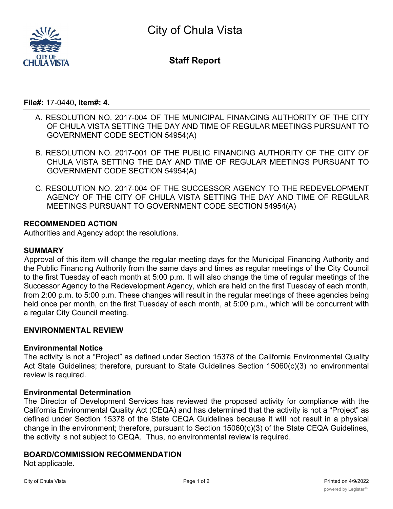

**Staff Report**

**File#:** 17-0440**, Item#: 4.**

- A. RESOLUTION NO. 2017-004 OF THE MUNICIPAL FINANCING AUTHORITY OF THE CITY OF CHULA VISTA SETTING THE DAY AND TIME OF REGULAR MEETINGS PURSUANT TO GOVERNMENT CODE SECTION 54954(A)
- B. RESOLUTION NO. 2017-001 OF THE PUBLIC FINANCING AUTHORITY OF THE CITY OF CHULA VISTA SETTING THE DAY AND TIME OF REGULAR MEETINGS PURSUANT TO GOVERNMENT CODE SECTION 54954(A)
- C. RESOLUTION NO. 2017-004 OF THE SUCCESSOR AGENCY TO THE REDEVELOPMENT AGENCY OF THE CITY OF CHULA VISTA SETTING THE DAY AND TIME OF REGULAR MEETINGS PURSUANT TO GOVERNMENT CODE SECTION 54954(A)

# **RECOMMENDED ACTION**

Authorities and Agency adopt the resolutions.

### **SUMMARY**

Approval of this item will change the regular meeting days for the Municipal Financing Authority and the Public Financing Authority from the same days and times as regular meetings of the City Council to the first Tuesday of each month at 5:00 p.m. It will also change the time of regular meetings of the Successor Agency to the Redevelopment Agency, which are held on the first Tuesday of each month, from 2:00 p.m. to 5:00 p.m. These changes will result in the regular meetings of these agencies being held once per month, on the first Tuesday of each month, at 5:00 p.m., which will be concurrent with a regular City Council meeting.

### **ENVIRONMENTAL REVIEW**

### **Environmental Notice**

The activity is not a "Project" as defined under Section 15378 of the California Environmental Quality Act State Guidelines; therefore, pursuant to State Guidelines Section 15060(c)(3) no environmental review is required.

### **Environmental Determination**

The Director of Development Services has reviewed the proposed activity for compliance with the California Environmental Quality Act (CEQA) and has determined that the activity is not a "Project" as defined under Section 15378 of the State CEQA Guidelines because it will not result in a physical change in the environment; therefore, pursuant to Section 15060(c)(3) of the State CEQA Guidelines, the activity is not subject to CEQA. Thus, no environmental review is required.

### **BOARD/COMMISSION RECOMMENDATION**

Not applicable.